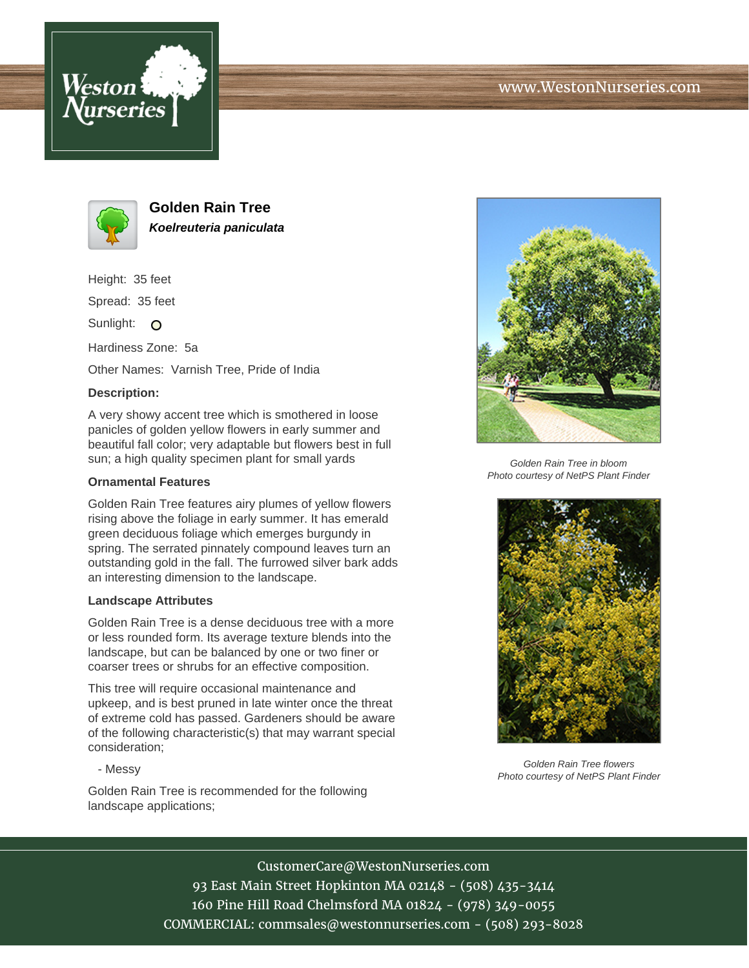



**Golden Rain Tree Koelreuteria paniculata**

Height: 35 feet

Spread: 35 feet

Sunlight: O

Hardiness Zone: 5a

Other Names: Varnish Tree, Pride of India

## **Description:**

A very showy accent tree which is smothered in loose panicles of golden yellow flowers in early summer and beautiful fall color; very adaptable but flowers best in full sun; a high quality specimen plant for small yards

## **Ornamental Features**

Golden Rain Tree features airy plumes of yellow flowers rising above the foliage in early summer. It has emerald green deciduous foliage which emerges burgundy in spring. The serrated pinnately compound leaves turn an outstanding gold in the fall. The furrowed silver bark adds an interesting dimension to the landscape.

## **Landscape Attributes**

Golden Rain Tree is a dense deciduous tree with a more or less rounded form. Its average texture blends into the landscape, but can be balanced by one or two finer or coarser trees or shrubs for an effective composition.

This tree will require occasional maintenance and upkeep, and is best pruned in late winter once the threat of extreme cold has passed. Gardeners should be aware of the following characteristic(s) that may warrant special consideration;

- Messy

Golden Rain Tree is recommended for the following landscape applications;



Golden Rain Tree in bloom Photo courtesy of NetPS Plant Finder



Golden Rain Tree flowers Photo courtesy of NetPS Plant Finder

CustomerCare@WestonNurseries.com 93 East Main Street Hopkinton MA 02148 - (508) 435-3414 160 Pine Hill Road Chelmsford MA 01824 - (978) 349-0055 COMMERCIAL: commsales@westonnurseries.com - (508) 293-8028